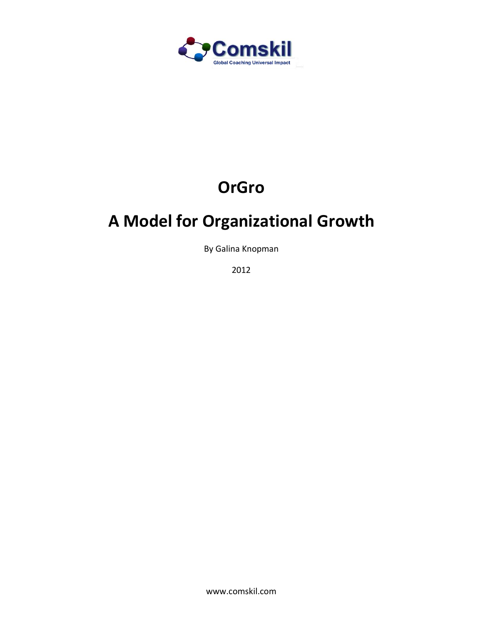

# **OrGro**

## **A Model for Organizational Growth**

By Galina Knopman

2012

www.comskil.com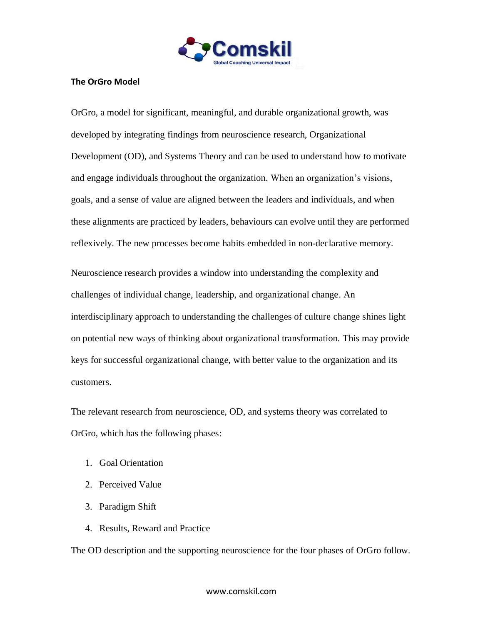

#### **The OrGro Model**

OrGro, a model for significant, meaningful, and durable organizational growth, was developed by integrating findings from neuroscience research, Organizational Development (OD), and Systems Theory and can be used to understand how to motivate and engage individuals throughout the organization. When an organization's visions, goals, and a sense of value are aligned between the leaders and individuals, and when these alignments are practiced by leaders, behaviours can evolve until they are performed reflexively. The new processes become habits embedded in non-declarative memory.

Neuroscience research provides a window into understanding the complexity and challenges of individual change, leadership, and organizational change. An interdisciplinary approach to understanding the challenges of culture change shines light on potential new ways of thinking about organizational transformation. This may provide keys for successful organizational change, with better value to the organization and its customers.

The relevant research from neuroscience, OD, and systems theory was correlated to OrGro, which has the following phases:

- 1. Goal Orientation
- 2. Perceived Value
- 3. Paradigm Shift
- 4. Results, Reward and Practice

The OD description and the supporting neuroscience for the four phases of OrGro follow.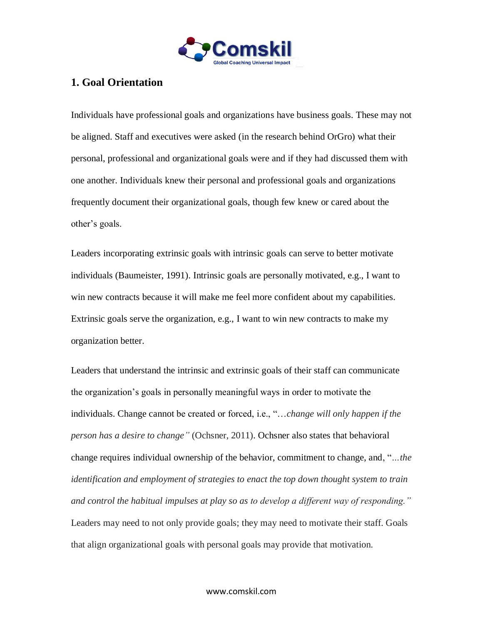

## **1. Goal Orientation**

Individuals have professional goals and organizations have business goals. These may not be aligned. Staff and executives were asked (in the research behind OrGro) what their personal, professional and organizational goals were and if they had discussed them with one another. Individuals knew their personal and professional goals and organizations frequently document their organizational goals, though few knew or cared about the other's goals.

Leaders incorporating extrinsic goals with intrinsic goals can serve to better motivate individuals (Baumeister, 1991). Intrinsic goals are personally motivated, e.g., I want to win new contracts because it will make me feel more confident about my capabilities. Extrinsic goals serve the organization, e.g., I want to win new contracts to make my organization better.

Leaders that understand the intrinsic and extrinsic goals of their staff can communicate the organization's goals in personally meaningful ways in order to motivate the individuals. Change cannot be created or forced, i.e., "…*change will only happen if the person has a desire to change"* (Ochsner, 2011). Ochsner also states that behavioral change requires individual ownership of the behavior, commitment to change, and, "*…the identification and employment of strategies to enact the top down thought system to train and control the habitual impulses at play so as to develop a different way of responding."*  Leaders may need to not only provide goals; they may need to motivate their staff. Goals that align organizational goals with personal goals may provide that motivation.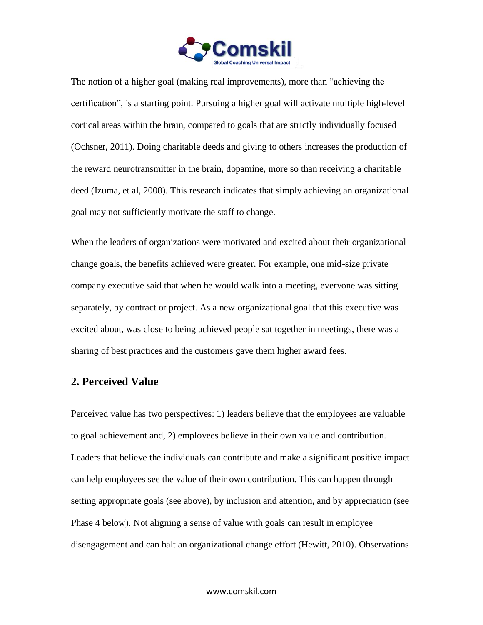

The notion of a higher goal (making real improvements), more than "achieving the certification", is a starting point. Pursuing a higher goal will activate multiple high-level cortical areas within the brain, compared to goals that are strictly individually focused (Ochsner, 2011). Doing charitable deeds and giving to others increases the production of the reward neurotransmitter in the brain, dopamine, more so than receiving a charitable deed (Izuma, et al, 2008). This research indicates that simply achieving an organizational goal may not sufficiently motivate the staff to change.

When the leaders of organizations were motivated and excited about their organizational change goals, the benefits achieved were greater. For example, one mid-size private company executive said that when he would walk into a meeting, everyone was sitting separately, by contract or project. As a new organizational goal that this executive was excited about, was close to being achieved people sat together in meetings, there was a sharing of best practices and the customers gave them higher award fees.

#### **2. Perceived Value**

Perceived value has two perspectives: 1) leaders believe that the employees are valuable to goal achievement and, 2) employees believe in their own value and contribution. Leaders that believe the individuals can contribute and make a significant positive impact can help employees see the value of their own contribution. This can happen through setting appropriate goals (see above), by inclusion and attention, and by appreciation (see Phase 4 below). Not aligning a sense of value with goals can result in employee disengagement and can halt an organizational change effort (Hewitt, 2010). Observations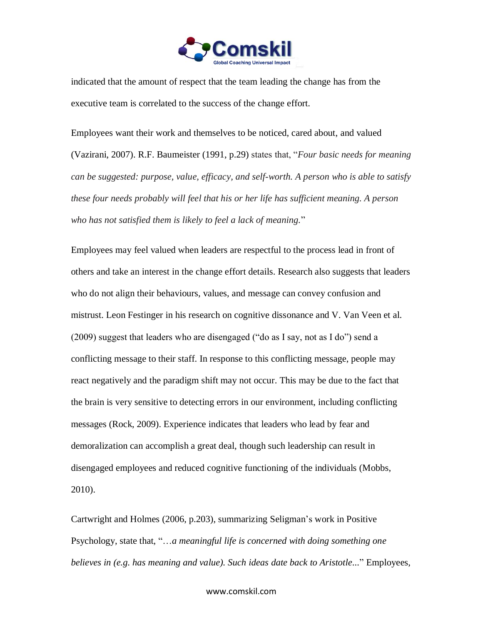

indicated that the amount of respect that the team leading the change has from the executive team is correlated to the success of the change effort.

Employees want their work and themselves to be noticed, cared about, and valued (Vazirani, 2007). R.F. Baumeister (1991, p.29) states that, "*Four basic needs for meaning can be suggested: purpose, value, efficacy, and self-worth. A person who is able to satisfy these four needs probably will feel that his or her life has sufficient meaning. A person who has not satisfied them is likely to feel a lack of meaning.*"

Employees may feel valued when leaders are respectful to the process lead in front of others and take an interest in the change effort details. Research also suggests that leaders who do not align their behaviours, values, and message can convey confusion and mistrust. Leon Festinger in his research on cognitive dissonance and V. Van Veen et al. (2009) suggest that leaders who are disengaged ("do as I say, not as I do") send a conflicting message to their staff. In response to this conflicting message, people may react negatively and the paradigm shift may not occur. This may be due to the fact that the brain is very sensitive to detecting errors in our environment, including conflicting messages (Rock, 2009). Experience indicates that leaders who lead by fear and demoralization can accomplish a great deal, though such leadership can result in disengaged employees and reduced cognitive functioning of the individuals (Mobbs, 2010).

Cartwright and Holmes (2006, p.203), summarizing Seligman's work in Positive Psychology, state that, "…*a meaningful life is concerned with doing something one believes in (e.g. has meaning and value). Such ideas date back to Aristotle...*" Employees,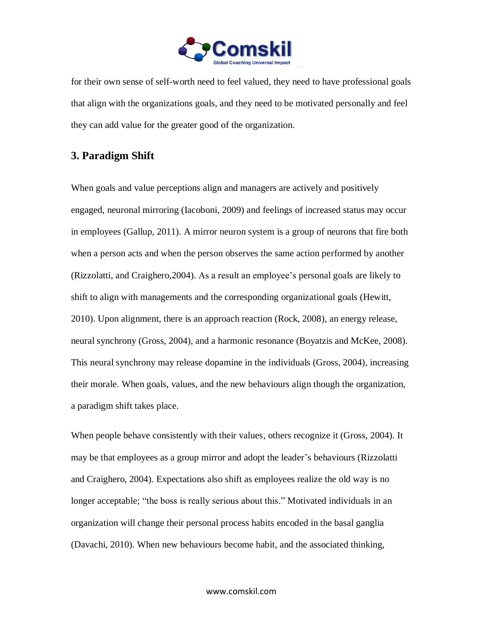

for their own sense of self-worth need to feel valued, they need to have professional goals that align with the organizations goals, and they need to be motivated personally and feel they can add value for the greater good of the organization.

### **3. Paradigm Shift**

When goals and value perceptions align and managers are actively and positively engaged, neuronal mirroring (Iacoboni, 2009) and feelings of increased status may occur in employees (Gallup, 2011). A mirror neuron system is a group of neurons that fire both when a person acts and when the person observes the same action performed by another (Rizzolatti, and Craighero,2004). As a result an employee's personal goals are likely to shift to align with managements and the corresponding organizational goals (Hewitt, 2010). Upon alignment, there is an approach reaction (Rock, 2008), an energy release, neural synchrony (Gross, 2004), and a harmonic resonance (Boyatzis and McKee, 2008). This neural synchrony may release dopamine in the individuals (Gross, 2004), increasing their morale. When goals, values, and the new behaviours align though the organization, a paradigm shift takes place.

When people behave consistently with their values, others recognize it (Gross, 2004). It may be that employees as a group mirror and adopt the leader's behaviours (Rizzolatti and Craighero, 2004). Expectations also shift as employees realize the old way is no longer acceptable; "the boss is really serious about this." Motivated individuals in an organization will change their personal process habits encoded in the basal ganglia (Davachi, 2010). When new behaviours become habit, and the associated thinking,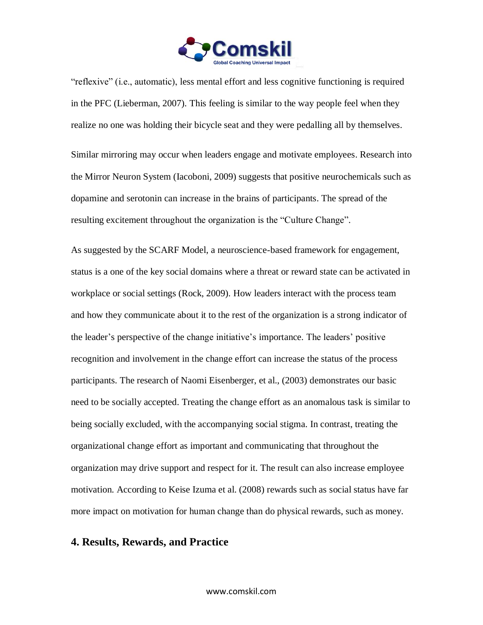

"reflexive" (i.e., automatic), less mental effort and less cognitive functioning is required in the PFC (Lieberman, 2007). This feeling is similar to the way people feel when they realize no one was holding their bicycle seat and they were pedalling all by themselves.

Similar mirroring may occur when leaders engage and motivate employees. Research into the Mirror Neuron System (Iacoboni, 2009) suggests that positive neurochemicals such as dopamine and serotonin can increase in the brains of participants. The spread of the resulting excitement throughout the organization is the "Culture Change".

As suggested by the SCARF Model, a neuroscience-based framework for engagement, status is a one of the key social domains where a threat or reward state can be activated in workplace or social settings (Rock, 2009). How leaders interact with the process team and how they communicate about it to the rest of the organization is a strong indicator of the leader's perspective of the change initiative's importance. The leaders' positive recognition and involvement in the change effort can increase the status of the process participants. The research of Naomi Eisenberger, et al., (2003) demonstrates our basic need to be socially accepted. Treating the change effort as an anomalous task is similar to being socially excluded, with the accompanying social stigma. In contrast, treating the organizational change effort as important and communicating that throughout the organization may drive support and respect for it. The result can also increase employee motivation. According to Keise Izuma et al. (2008) rewards such as social status have far more impact on motivation for human change than do physical rewards, such as money.

#### **4. Results, Rewards, and Practice**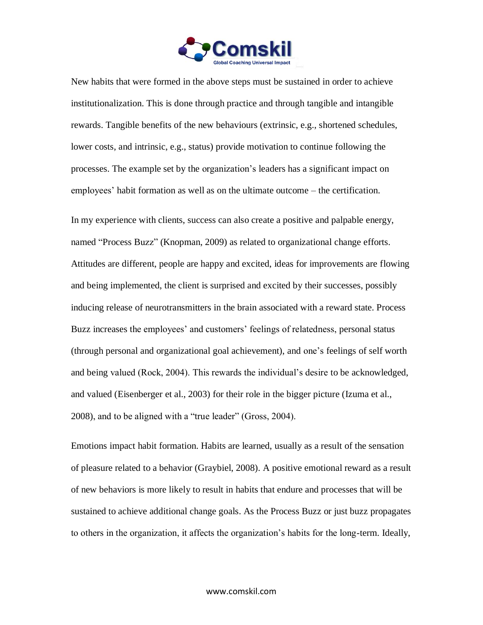

New habits that were formed in the above steps must be sustained in order to achieve institutionalization. This is done through practice and through tangible and intangible rewards. Tangible benefits of the new behaviours (extrinsic, e.g., shortened schedules, lower costs, and intrinsic, e.g., status) provide motivation to continue following the processes. The example set by the organization's leaders has a significant impact on employees' habit formation as well as on the ultimate outcome – the certification.

In my experience with clients, success can also create a positive and palpable energy, named "Process Buzz" (Knopman, 2009) as related to organizational change efforts. Attitudes are different, people are happy and excited, ideas for improvements are flowing and being implemented, the client is surprised and excited by their successes, possibly inducing release of neurotransmitters in the brain associated with a reward state. Process Buzz increases the employees' and customers' feelings of relatedness, personal status (through personal and organizational goal achievement), and one's feelings of self worth and being valued (Rock, 2004). This rewards the individual's desire to be acknowledged, and valued (Eisenberger et al., 2003) for their role in the bigger picture (Izuma et al., 2008), and to be aligned with a "true leader" (Gross, 2004).

Emotions impact habit formation. Habits are learned, usually as a result of the sensation of pleasure related to a behavior (Graybiel, 2008). A positive emotional reward as a result of new behaviors is more likely to result in habits that endure and processes that will be sustained to achieve additional change goals. As the Process Buzz or just buzz propagates to others in the organization, it affects the organization's habits for the long-term. Ideally,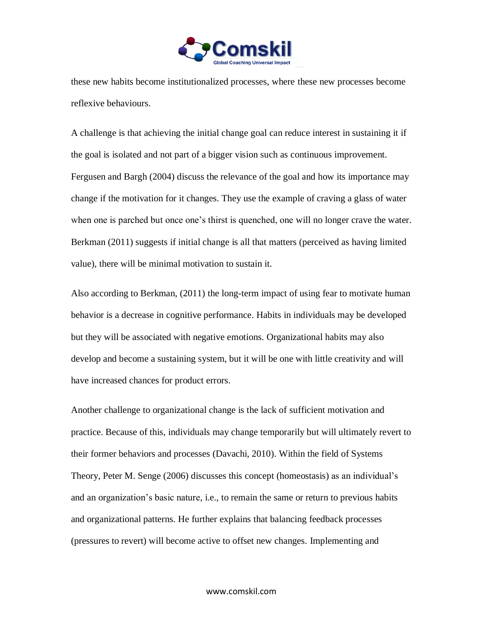

these new habits become institutionalized processes, where these new processes become reflexive behaviours.

A challenge is that achieving the initial change goal can reduce interest in sustaining it if the goal is isolated and not part of a bigger vision such as continuous improvement. Fergusen and Bargh (2004) discuss the relevance of the goal and how its importance may change if the motivation for it changes. They use the example of craving a glass of water when one is parched but once one's thirst is quenched, one will no longer crave the water. Berkman (2011) suggests if initial change is all that matters (perceived as having limited value), there will be minimal motivation to sustain it.

Also according to Berkman, (2011) the long-term impact of using fear to motivate human behavior is a decrease in cognitive performance. Habits in individuals may be developed but they will be associated with negative emotions. Organizational habits may also develop and become a sustaining system, but it will be one with little creativity and will have increased chances for product errors.

Another challenge to organizational change is the lack of sufficient motivation and practice. Because of this, individuals may change temporarily but will ultimately revert to their former behaviors and processes (Davachi, 2010). Within the field of Systems Theory, Peter M. Senge (2006) discusses this concept (homeostasis) as an individual's and an organization's basic nature, i.e., to remain the same or return to previous habits and organizational patterns. He further explains that balancing feedback processes (pressures to revert) will become active to offset new changes. Implementing and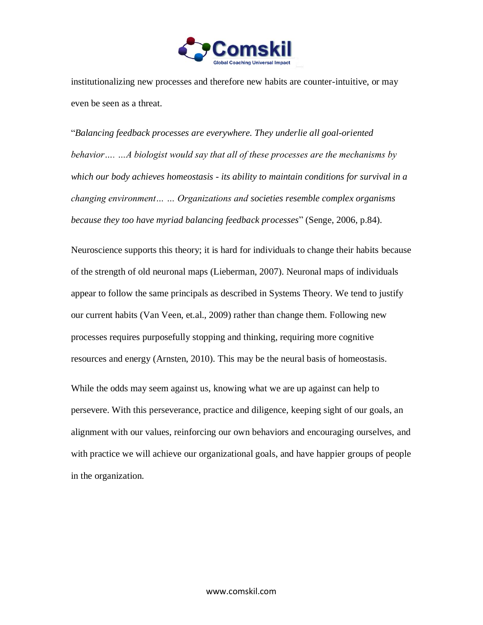

institutionalizing new processes and therefore new habits are counter-intuitive, or may even be seen as a threat.

"*Balancing feedback processes are everywhere. They underlie all goal-oriented behavior…. …A biologist would say that all of these processes are the mechanisms by which our body achieves homeostasis - its ability to maintain conditions for survival in a changing environment… … Organizations and societies resemble complex organisms because they too have myriad balancing feedback processes*" (Senge, 2006, p.84).

Neuroscience supports this theory; it is hard for individuals to change their habits because of the strength of old neuronal maps (Lieberman, 2007). Neuronal maps of individuals appear to follow the same principals as described in Systems Theory. We tend to justify our current habits (Van Veen, et.al., 2009) rather than change them. Following new processes requires purposefully stopping and thinking, requiring more cognitive resources and energy (Arnsten, 2010). This may be the neural basis of homeostasis.

While the odds may seem against us, knowing what we are up against can help to persevere. With this perseverance, practice and diligence, keeping sight of our goals, an alignment with our values, reinforcing our own behaviors and encouraging ourselves, and with practice we will achieve our organizational goals, and have happier groups of people in the organization.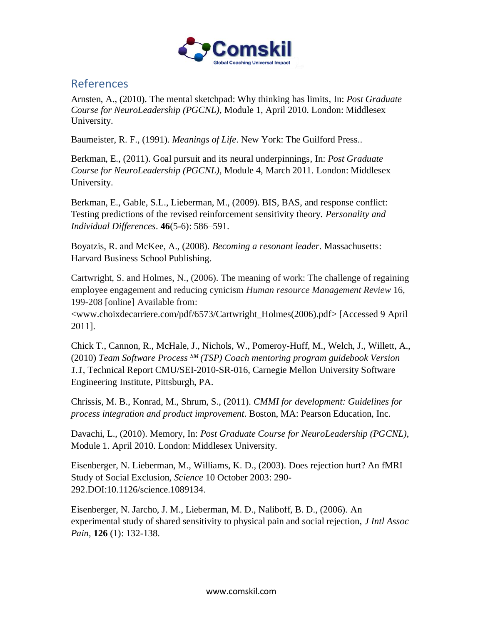

## References

Arnsten, A., (2010). The mental sketchpad: Why thinking has limits, In: *Post Graduate Course for NeuroLeadership (PGCNL)*, Module 1, April 2010. London: Middlesex University.

Baumeister, R. F., (1991). *Meanings of Life*. New York: The Guilford Press..

Berkman, E., (2011). Goal pursuit and its neural underpinnings, In: *Post Graduate Course for NeuroLeadership (PGCNL)*, Module 4, March 2011. London: Middlesex University.

Berkman, E., Gable, S.L., Lieberman, M., (2009). BIS, BAS, and response conflict: Testing predictions of the revised reinforcement sensitivity theory. *Personality and Individual Differences*. **46**(5-6): 586–591.

Boyatzis, R. and McKee, A., (2008). *Becoming a resonant leader*. Massachusetts: Harvard Business School Publishing.

Cartwright, S. and Holmes, N., (2006). The meaning of work: The challenge of regaining employee engagement and reducing cynicism *Human resource Management Review* 16, 199-208 [online] Available from:

<www.choixdecarriere.com/pdf/6573/Cartwright\_Holmes(2006).pdf> [Accessed 9 April 2011].

Chick T., Cannon, R., McHale, J., Nichols, W., Pomeroy-Huff, M., Welch, J., Willett, A., (2010) *Team Software Process SM (TSP) Coach mentoring program guidebook Version 1.1*, Technical Report CMU/SEI-2010-SR-016, Carnegie Mellon University Software Engineering Institute*,* Pittsburgh, PA.

Chrissis, M. B., Konrad, M., Shrum, S., (2011). *CMMI for development: Guidelines for process integration and product improvement*. Boston, MA: Pearson Education, Inc.

Davachi, L., (2010). Memory, In: *Post Graduate Course for NeuroLeadership (PGCNL),* Module 1. April 2010. London: Middlesex University.

Eisenberger, N. Lieberman, M., Williams, K. D., (2003). Does rejection hurt? An fMRI Study of Social Exclusion, *Science* 10 October 2003: 290- 292.DOI:10.1126/science.1089134.

Eisenberger, N. Jarcho, J. M., Lieberman, M. D., Naliboff, B. D., (2006). An experimental study of shared sensitivity to physical pain and social rejection, *J Intl Assoc Pain*, **126** (1): 132-138.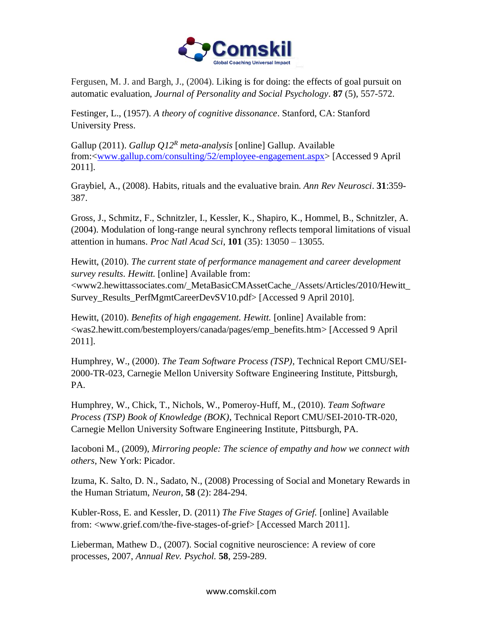

Fergusen, M. J. and Bargh, J., (2004). Liking is for doing: the effects of goal pursuit on automatic evaluation, *Journal of Personality and Social Psychology*. **87** (5), 557-572.

Festinger, L., (1957). *A theory of cognitive dissonance*. Stanford, CA: Stanford University Press.

Gallup (2011). *Gallup Q12<sup>R</sup> meta-analysis* [online] Gallup. Available from:[<www.gallup.com/consulting/52/employee-engagement.aspx>](http://www.gallup.com/consulting/52/employee-engagement.aspx) [Accessed 9 April 2011].

Graybiel, A., (2008). Habits, rituals and the evaluative brain. *Ann Rev Neurosci*. **31**:359- 387.

Gross, J., Schmitz, F., Schnitzler, I., Kessler, K., Shapiro, K., Hommel, B., Schnitzler, A. (2004). Modulation of long-range neural synchrony reflects temporal limitations of visual attention in humans. *Proc Natl Acad Sci*, **101** (35): 13050 – 13055.

Hewitt, (2010). *The current state of performance management and career development survey results. Hewitt.* [online] Available from:

<www2.hewittassociates.com/\_MetaBasicCMAssetCache\_/Assets/Articles/2010/Hewitt\_ Survey Results PerfMgmtCareerDevSV10.pdf> [Accessed 9 April 2010].

Hewitt, (2010). *Benefits of high engagement. Hewitt.* [online] Available from: <was2.hewitt.com/bestemployers/canada/pages/emp\_benefits.htm> [Accessed 9 April 2011].

Humphrey, W., (2000). *The Team Software Process (TSP)*, Technical Report CMU/SEI-2000-TR-023, Carnegie Mellon University Software Engineering Institute, Pittsburgh, PA.

Humphrey, W., Chick, T., Nichols, W., Pomeroy-Huff, M., (2010). *Team Software Process (TSP) Book of Knowledge (BOK)*, Technical Report CMU/SEI-2010-TR-020, Carnegie Mellon University Software Engineering Institute*,* Pittsburgh, PA.

Iacoboni M., (2009), *Mirroring people: The science of empathy and how we connect with others*, New York: Picador.

Izuma, K. Salto, D. N., Sadato, N., (2008) Processing of Social and Monetary Rewards in the Human Striatum, *Neuron*, **58** (2): 284-294.

Kubler-Ross, E. and Kessler, D. (2011) *The Five Stages of Grief.* [online] Available from: <www.grief.com/the-five-stages-of-grief> [Accessed March 2011].

Lieberman, Mathew D., (2007). Social cognitive neuroscience: A review of core processes, 2007, *Annual Rev. Psychol.* **58**, 259-289.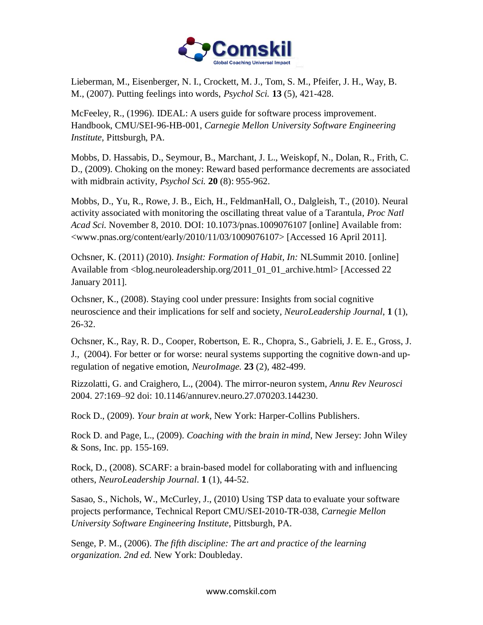

Lieberman, M., Eisenberger, N. I., Crockett, M. J., Tom, S. M., Pfeifer, J. H., Way, B. M., (2007). Putting feelings into words, *Psychol Sci.* **13** (5), 421-428.

McFeeley, R., (1996). IDEAL: A users guide for software process improvement. Handbook, CMU/SEI-96-HB-001, *Carnegie Mellon University Software Engineering Institute*, Pittsburgh, PA.

Mobbs, D. Hassabis, D., Seymour, B., Marchant, J. L., Weiskopf, N., Dolan, R., Frith, C. D., (2009). Choking on the money: Reward based performance decrements are associated with midbrain activity, *Psychol Sci.* **20** (8): 955-962.

Mobbs, D., Yu, R., Rowe, J. B., Eich, H., FeldmanHall, O., Dalgleish, T., (2010). [Neural](http://www.pnas.org/content/early/2010/11/03/1009076107)  [activity associated with monitoring the oscillating threat value of a Tarantula,](http://www.pnas.org/content/early/2010/11/03/1009076107) *Proc Natl Acad Sci.* November 8, 2010. DOI: 10.1073/pnas.1009076107 [online] Available from: <www.pnas.org/content/early/2010/11/03/1009076107> [Accessed 16 April 2011].

Ochsner, K. (2011) (2010). *Insight: Formation of Habit, In:* NLSummit 2010. [online] Available from <blog.neuroleadership.org/2011\_01\_01\_archive.html> [Accessed 22 January 2011].

Ochsner, K., (2008). Staying cool under pressure: Insights from social cognitive neuroscience and their implications for self and society*, NeuroLeadership Journal*, **1** (1), 26-32.

Ochsner, K., Ray, R. D., Cooper, Robertson, E. R., Chopra, S., Gabrieli, J. E. E., Gross, J. J., (2004). For better or for worse: neural systems supporting the cognitive down-and upregulation of negative emotion, *NeuroImage.* **23** (2), 482-499.

Rizzolatti, G. and Craighero, L., (2004). The mirror-neuron system, *Annu Rev Neurosci* 2004. 27:169–92 doi: 10.1146/annurev.neuro.27.070203.144230.

Rock D., (2009). *Your brain at work*, New York: Harper-Collins Publishers.

Rock D. and Page, L., (2009). *Coaching with the brain in mind*, New Jersey: John Wiley & Sons, Inc. pp. 155-169.

Rock, D., (2008). SCARF: a brain-based model for collaborating with and influencing others, *NeuroLeadership Journal*. **1** (1), 44-52.

Sasao, S., Nichols, W., McCurley, J., (2010) Using TSP data to evaluate your software projects performance, Technical Report CMU/SEI-2010-TR-038, *Carnegie Mellon University Software Engineering Institute*, Pittsburgh, PA.

Senge, P. M., (2006). *The fifth discipline: The art and practice of the learning organization. 2nd ed.* New York: Doubleday.